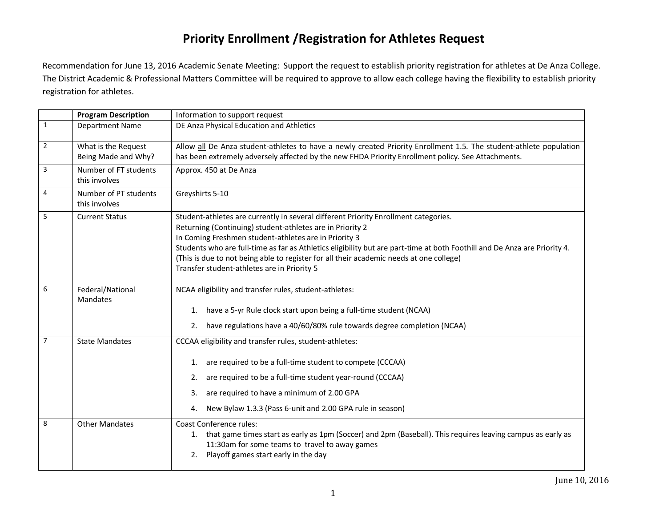## **Priority Enrollment /Registration for Athletes Request**

Recommendation for June 13, 2016 Academic Senate Meeting: Support the request to establish priority registration for athletes at De Anza College. The District Academic & Professional Matters Committee will be required to approve to allow each college having the flexibility to establish priority registration for athletes.

|                | <b>Program Description</b>                 | Information to support request                                                                                                                                                                                                                                                                                                                                                                                                                                                   |
|----------------|--------------------------------------------|----------------------------------------------------------------------------------------------------------------------------------------------------------------------------------------------------------------------------------------------------------------------------------------------------------------------------------------------------------------------------------------------------------------------------------------------------------------------------------|
| $\mathbf{1}$   | Department Name                            | DE Anza Physical Education and Athletics                                                                                                                                                                                                                                                                                                                                                                                                                                         |
| $\overline{2}$ | What is the Request<br>Being Made and Why? | Allow all De Anza student-athletes to have a newly created Priority Enrollment 1.5. The student-athlete population<br>has been extremely adversely affected by the new FHDA Priority Enrollment policy. See Attachments.                                                                                                                                                                                                                                                         |
| 3              | Number of FT students<br>this involves     | Approx. 450 at De Anza                                                                                                                                                                                                                                                                                                                                                                                                                                                           |
| 4              | Number of PT students<br>this involves     | Greyshirts 5-10                                                                                                                                                                                                                                                                                                                                                                                                                                                                  |
| 5              | <b>Current Status</b>                      | Student-athletes are currently in several different Priority Enrollment categories.<br>Returning (Continuing) student-athletes are in Priority 2<br>In Coming Freshmen student-athletes are in Priority 3<br>Students who are full-time as far as Athletics eligibility but are part-time at both Foothill and De Anza are Priority 4.<br>(This is due to not being able to register for all their academic needs at one college)<br>Transfer student-athletes are in Priority 5 |
| 6              | Federal/National<br>Mandates               | NCAA eligibility and transfer rules, student-athletes:<br>1. have a 5-yr Rule clock start upon being a full-time student (NCAA)<br>2. have regulations have a 40/60/80% rule towards degree completion (NCAA)                                                                                                                                                                                                                                                                    |
| $\overline{7}$ | <b>State Mandates</b>                      | CCCAA eligibility and transfer rules, student-athletes:<br>are required to be a full-time student to compete (CCCAA)<br>1.<br>are required to be a full-time student year-round (CCCAA)<br>2.<br>are required to have a minimum of 2.00 GPA<br>3.<br>New Bylaw 1.3.3 (Pass 6-unit and 2.00 GPA rule in season)<br>4.                                                                                                                                                             |
| 8              | <b>Other Mandates</b>                      | <b>Coast Conference rules:</b><br>1. that game times start as early as 1pm (Soccer) and 2pm (Baseball). This requires leaving campus as early as<br>11:30am for some teams to travel to away games<br>2. Playoff games start early in the day                                                                                                                                                                                                                                    |